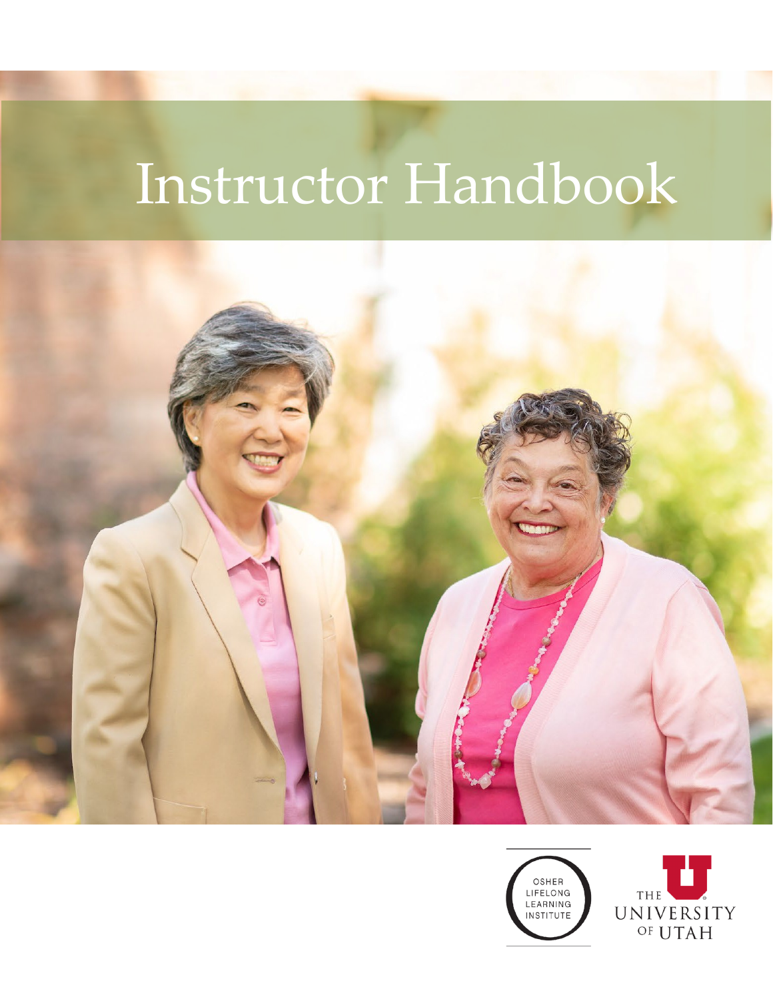# Instructor Handbook



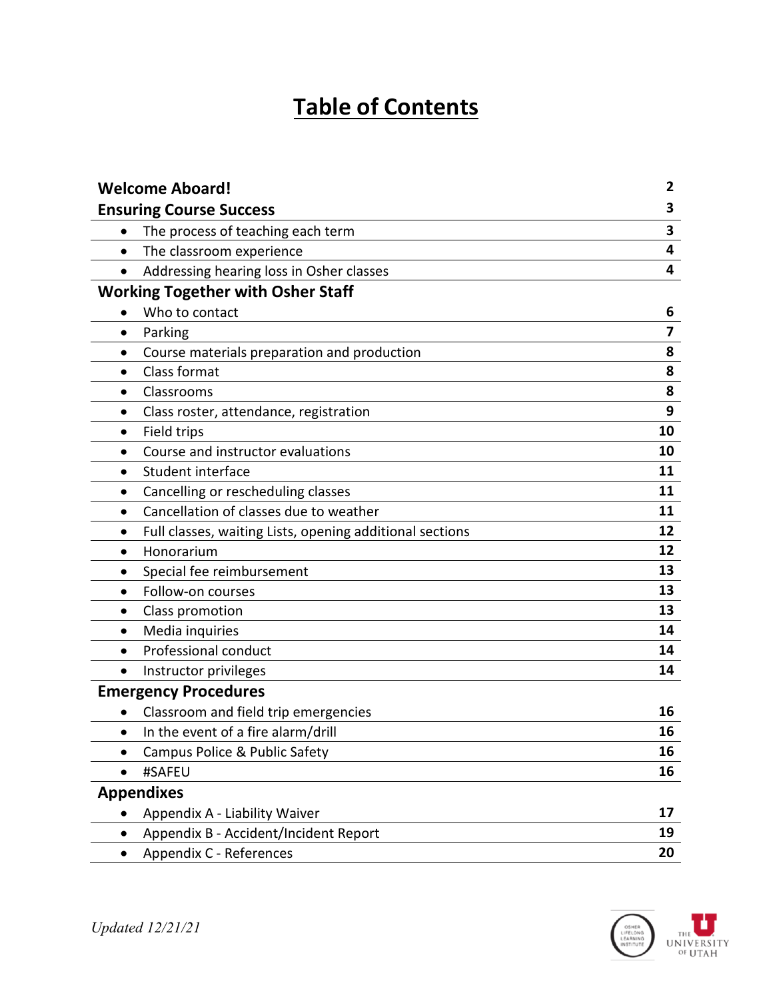# **Table of Contents**

| <b>Welcome Aboard!</b>                                   | 2                       |
|----------------------------------------------------------|-------------------------|
| <b>Ensuring Course Success</b>                           | 3                       |
| The process of teaching each term<br>$\bullet$           | 3                       |
| The classroom experience<br>$\bullet$                    | 4                       |
| Addressing hearing loss in Osher classes<br>$\bullet$    | $\overline{\mathbf{4}}$ |
| <b>Working Together with Osher Staff</b>                 |                         |
| Who to contact                                           | 6                       |
| Parking<br>$\bullet$                                     | 7                       |
| Course materials preparation and production<br>٠         | 8                       |
| Class format<br>$\bullet$                                | 8                       |
| Classrooms<br>$\bullet$                                  | 8                       |
| Class roster, attendance, registration<br>$\bullet$      | 9                       |
| Field trips<br>$\bullet$                                 | 10                      |
| Course and instructor evaluations<br>٠                   | 10                      |
| Student interface                                        | 11                      |
| Cancelling or rescheduling classes                       | 11                      |
| Cancellation of classes due to weather<br>$\bullet$      | 11                      |
| Full classes, waiting Lists, opening additional sections | 12                      |
| Honorarium<br>٠                                          | 12                      |
| Special fee reimbursement<br>٠                           | 13                      |
| Follow-on courses<br>$\bullet$                           | 13                      |
| Class promotion                                          | 13                      |
| Media inquiries<br>$\bullet$                             | 14                      |
| Professional conduct<br>$\bullet$                        | 14                      |
| Instructor privileges<br>٠                               | 14                      |
| <b>Emergency Procedures</b>                              |                         |
| Classroom and field trip emergencies                     | 16                      |
| In the event of a fire alarm/drill<br>٠                  | 16                      |
| Campus Police & Public Safety                            | 16                      |
| #SAFEU                                                   | 16                      |
| <b>Appendixes</b>                                        |                         |
| Appendix A - Liability Waiver                            | 17                      |
| Appendix B - Accident/Incident Report                    | 19                      |
| Appendix C - References<br>٠                             | 20                      |

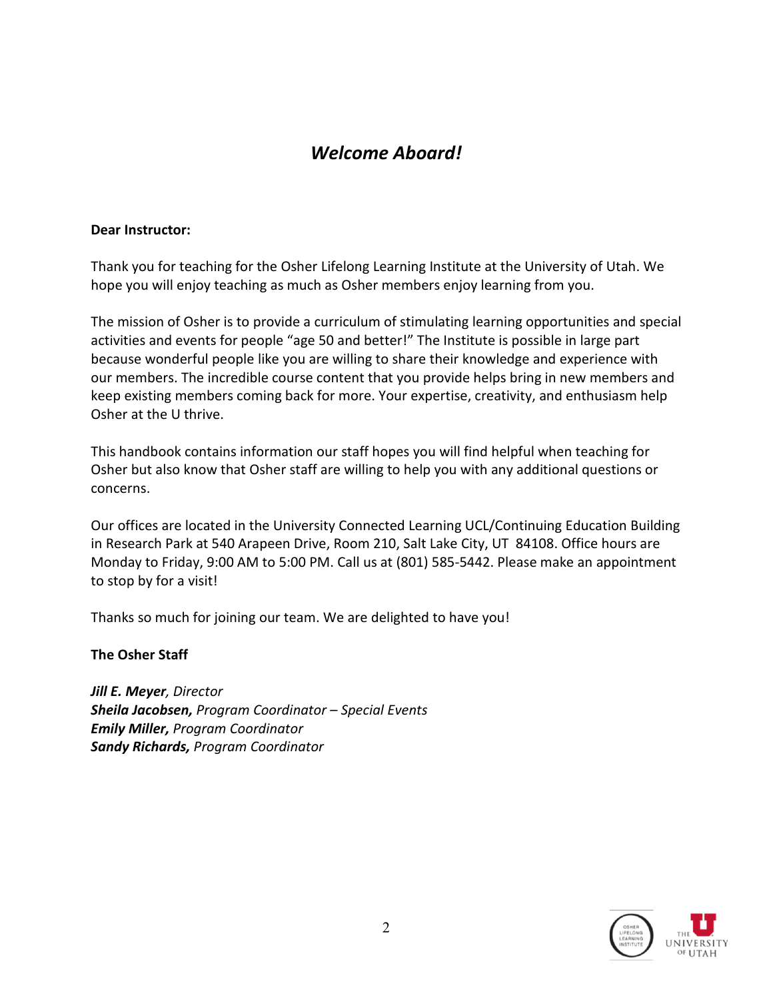# *Welcome Aboard!*

#### **Dear Instructor:**

Thank you for teaching for the Osher Lifelong Learning Institute at the University of Utah. We hope you will enjoy teaching as much as Osher members enjoy learning from you.

The mission of Osher is to provide a curriculum of stimulating learning opportunities and special activities and events for people "age 50 and better!" The Institute is possible in large part because wonderful people like you are willing to share their knowledge and experience with our members. The incredible course content that you provide helps bring in new members and keep existing members coming back for more. Your expertise, creativity, and enthusiasm help Osher at the U thrive.

This handbook contains information our staff hopes you will find helpful when teaching for Osher but also know that Osher staff are willing to help you with any additional questions or concerns.

Our offices are located in the University Connected Learning UCL/Continuing Education Building in Research Park at 540 Arapeen Drive, Room 210, Salt Lake City, UT 84108. Office hours are Monday to Friday, 9:00 AM to 5:00 PM. Call us at (801) 585-5442. Please make an appointment to stop by for a visit!

Thanks so much for joining our team. We are delighted to have you!

**The Osher Staff**

*Jill E. Meyer, Director Sheila Jacobsen, Program Coordinator – Special Events Emily Miller, Program Coordinator Sandy Richards, Program Coordinator*

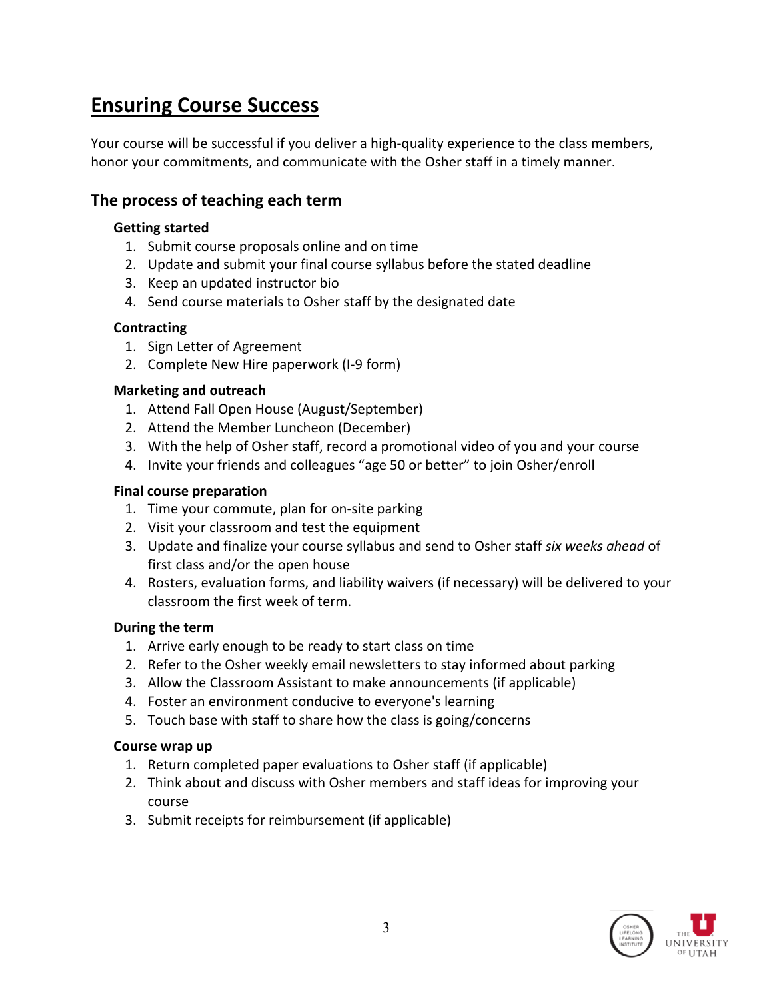# **Ensuring Course Success**

Your course will be successful if you deliver a high-quality experience to the class members, honor your commitments, and communicate with the Osher staff in a timely manner.

## **The process of teaching each term**

## **Getting started**

- 1. Submit course proposals online and on time
- 2. Update and submit your final course syllabus before the stated deadline
- 3. Keep an updated instructor bio
- 4. Send course materials to Osher staff by the designated date

## **Contracting**

- 1. Sign Letter of Agreement
- 2. Complete New Hire paperwork (I-9 form)

## **Marketing and outreach**

- 1. Attend Fall Open House (August/September)
- 2. Attend the Member Luncheon (December)
- 3. With the help of Osher staff, record a promotional video of you and your course
- 4. Invite your friends and colleagues "age 50 or better" to join Osher/enroll

## **Final course preparation**

- 1. Time your commute, plan for on-site parking
- 2. Visit your classroom and test the equipment
- 3. Update and finalize your course syllabus and send to Osher staff *six weeks ahead* of first class and/or the open house
- 4. Rosters, evaluation forms, and liability waivers (if necessary) will be delivered to your classroom the first week of term.

## **During the term**

- 1. Arrive early enough to be ready to start class on time
- 2. Refer to the Osher weekly email newsletters to stay informed about parking
- 3. Allow the Classroom Assistant to make announcements (if applicable)
- 4. Foster an environment conducive to everyone's learning
- 5. Touch base with staff to share how the class is going/concerns

## **Course wrap up**

- 1. Return completed paper evaluations to Osher staff (if applicable)
- 2. Think about and discuss with Osher members and staff ideas for improving your course
- 3. Submit receipts for reimbursement (if applicable)

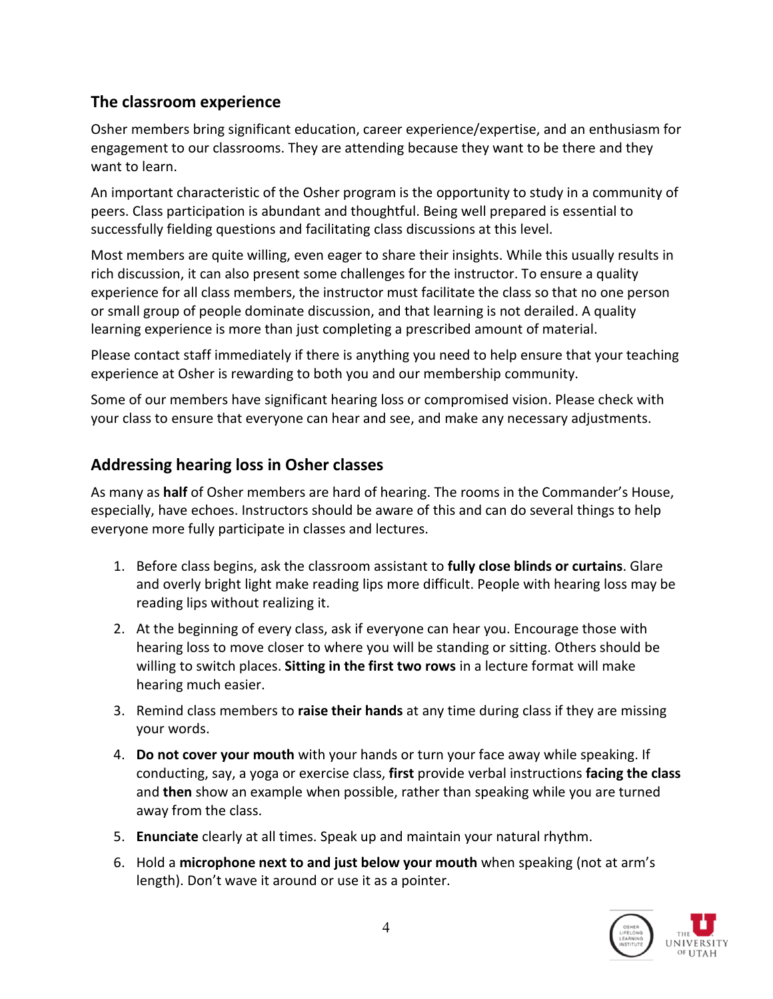## **The classroom experience**

Osher members bring significant education, career experience/expertise, and an enthusiasm for engagement to our classrooms. They are attending because they want to be there and they want to learn.

An important characteristic of the Osher program is the opportunity to study in a community of peers. Class participation is abundant and thoughtful. Being well prepared is essential to successfully fielding questions and facilitating class discussions at this level.

Most members are quite willing, even eager to share their insights. While this usually results in rich discussion, it can also present some challenges for the instructor. To ensure a quality experience for all class members, the instructor must facilitate the class so that no one person or small group of people dominate discussion, and that learning is not derailed. A quality learning experience is more than just completing a prescribed amount of material.

Please contact staff immediately if there is anything you need to help ensure that your teaching experience at Osher is rewarding to both you and our membership community.

Some of our members have significant hearing loss or compromised vision. Please check with your class to ensure that everyone can hear and see, and make any necessary adjustments.

## **Addressing hearing loss in Osher classes**

As many as **half** of Osher members are hard of hearing. The rooms in the Commander's House, especially, have echoes. Instructors should be aware of this and can do several things to help everyone more fully participate in classes and lectures.

- 1. Before class begins, ask the classroom assistant to **fully close blinds or curtains**. Glare and overly bright light make reading lips more difficult. People with hearing loss may be reading lips without realizing it.
- 2. At the beginning of every class, ask if everyone can hear you. Encourage those with hearing loss to move closer to where you will be standing or sitting. Others should be willing to switch places. **Sitting in the first two rows** in a lecture format will make hearing much easier.
- 3. Remind class members to **raise their hands** at any time during class if they are missing your words.
- 4. **Do not cover your mouth** with your hands or turn your face away while speaking. If conducting, say, a yoga or exercise class, **first** provide verbal instructions **facing the class** and **then** show an example when possible, rather than speaking while you are turned away from the class.
- 5. **Enunciate** clearly at all times. Speak up and maintain your natural rhythm.
- 6. Hold a **microphone next to and just below your mouth** when speaking (not at arm's length). Don't wave it around or use it as a pointer.

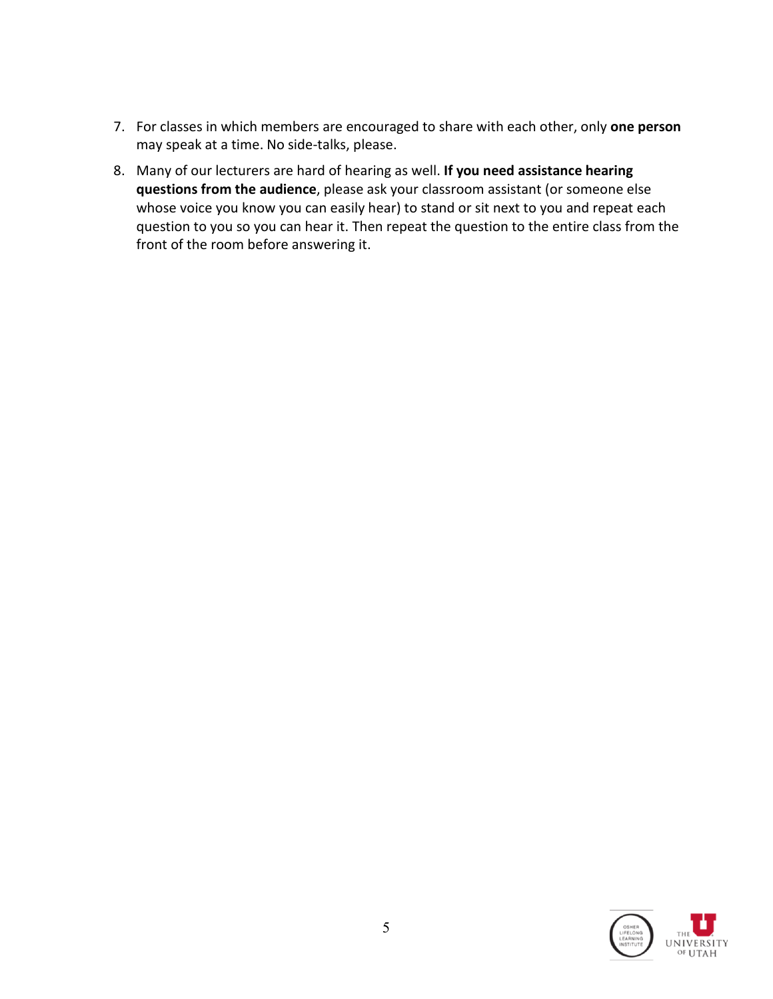- 7. For classes in which members are encouraged to share with each other, only **one person**  may speak at a time. No side-talks, please.
- 8. Many of our lecturers are hard of hearing as well. **If you need assistance hearing questions from the audience**, please ask your classroom assistant (or someone else whose voice you know you can easily hear) to stand or sit next to you and repeat each question to you so you can hear it. Then repeat the question to the entire class from the front of the room before answering it.

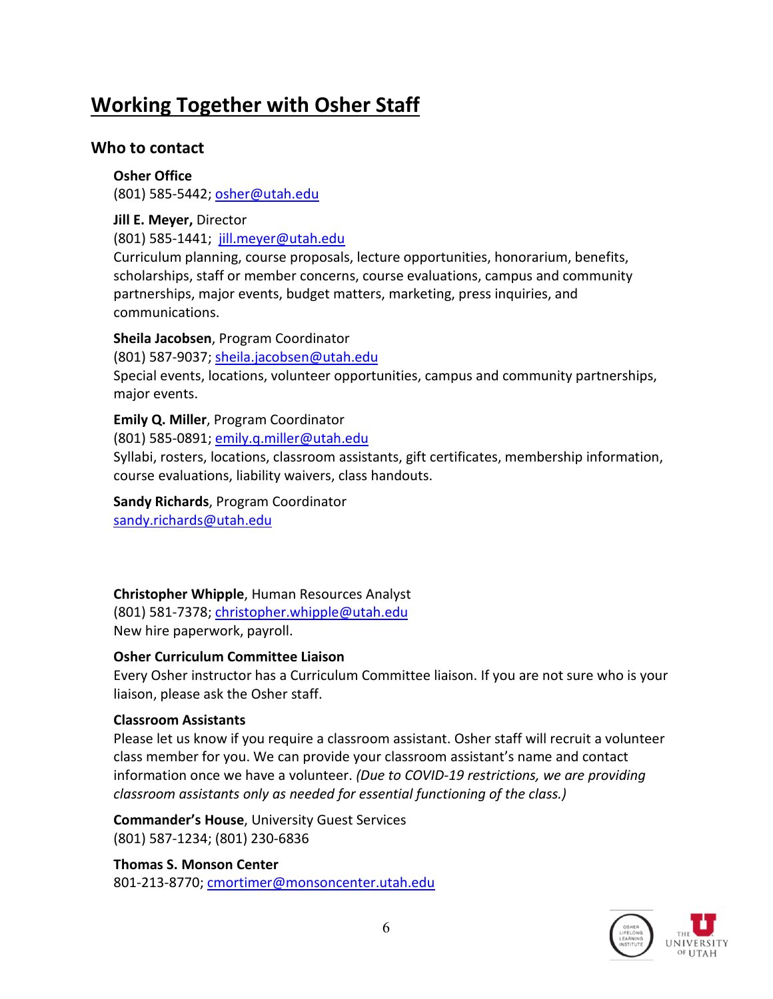# **Working Together with Osher Staff**

## **Who to contact**

**Osher Office** (801) 585-5442; [osher@utah.edu](mailto:osher@utah.edu)

**Jill E. Meyer,** Director (801) 585-1441; [jill.meyer@utah.edu](mailto:jill.meyer@utah.edu)

Curriculum planning, course proposals, lecture opportunities, honorarium, benefits, scholarships, staff or member concerns, course evaluations, campus and community partnerships, major events, budget matters, marketing, press inquiries, and communications.

**Sheila Jacobsen**, Program Coordinator

(801) 587-9037; [sheila.jacobsen@utah.edu](mailto:sheila.jacobsen@utah.edu)

Special events, locations, volunteer opportunities, campus and community partnerships, major events.

## **Emily Q. Miller**, Program Coordinator

(801) 585-0891; [emily.q.miller@utah.edu](mailto:emily.q.miller@utah.edu)

Syllabi, rosters, locations, classroom assistants, gift certificates, membership information, course evaluations, liability waivers, class handouts.

**Sandy Richards**, Program Coordinator [sandy.richards@utah.edu](mailto:sandy.richards@utah.edu)

## **Christopher Whipple**, Human Resources Analyst

(801) 581-7378; [christopher.whipple@utah.edu](mailto:christopher.whipple@utah.edu) New hire paperwork, payroll.

## **Osher Curriculum Committee Liaison**

Every Osher instructor has a Curriculum Committee liaison. If you are not sure who is your liaison, please ask the Osher staff.

## **Classroom Assistants**

Please let us know if you require a classroom assistant. Osher staff will recruit a volunteer class member for you. We can provide your classroom assistant's name and contact information once we have a volunteer. *(Due to COVID-19 restrictions, we are providing classroom assistants only as needed for essential functioning of the class.)*

**Commander's House**, University Guest Services (801) 587-1234; (801) 230-6836

**Thomas S. Monson Center** 801-213-8770; [cmortimer@monsoncenter.utah.edu](mailto:cmortimer@monsoncenter.utah.edu)

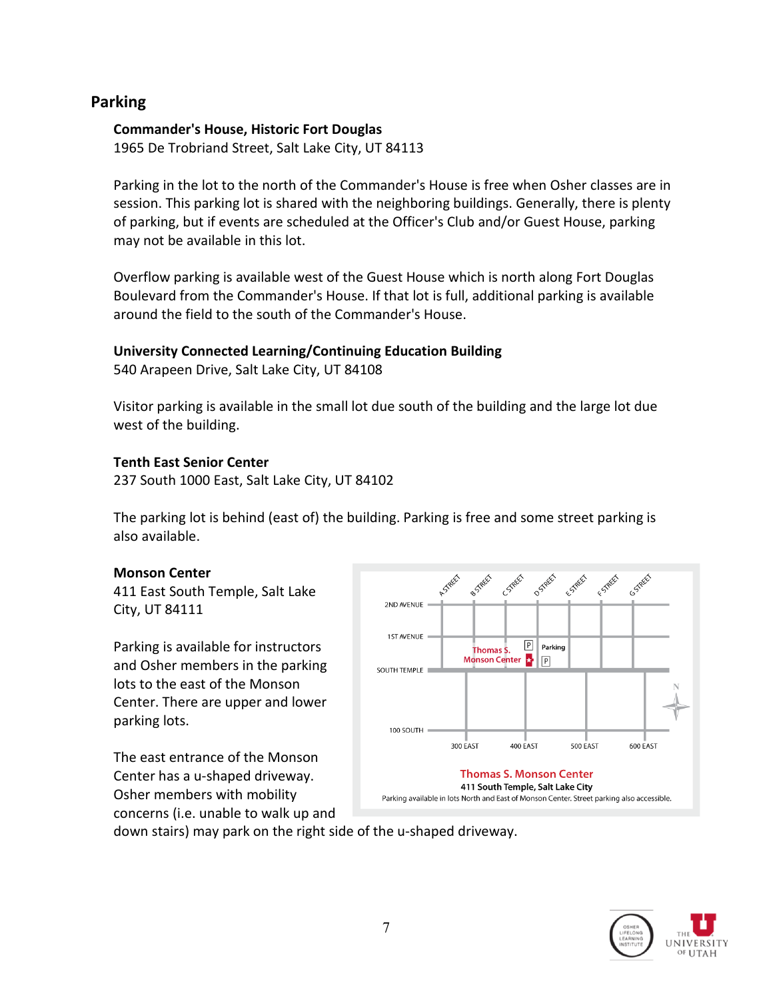## **Parking**

#### **Commander's House, Historic Fort Douglas**

1965 De Trobriand Street, Salt Lake City, UT 84113

Parking in the lot to the north of the Commander's House is free when Osher classes are in session. This parking lot is shared with the neighboring buildings. Generally, there is plenty of parking, but if events are scheduled at the Officer's Club and/or Guest House, parking may not be available in this lot.

Overflow parking is available west of the Guest House which is north along Fort Douglas Boulevard from the Commander's House. If that lot is full, additional parking is available around the field to the south of the Commander's House.

## **University Connected Learning/Continuing Education Building**

540 Arapeen Drive, Salt Lake City, UT 84108

Visitor parking is available in the small lot due south of the building and the large lot due west of the building.

## **Tenth East Senior Center**

237 South 1000 East, Salt Lake City, UT 84102

The parking lot is behind (east of) the building. Parking is free and some street parking is also available.

## **Monson Center**

411 East South Temple, Salt Lake City, UT 84111

Parking is available for instructors and Osher members in the parking lots to the east of the Monson Center. There are upper and lower parking lots.

The east entrance of the Monson Center has a u-shaped driveway. Osher members with mobility concerns (i.e. unable to walk up and



down stairs) may park on the right side of the u-shaped driveway.

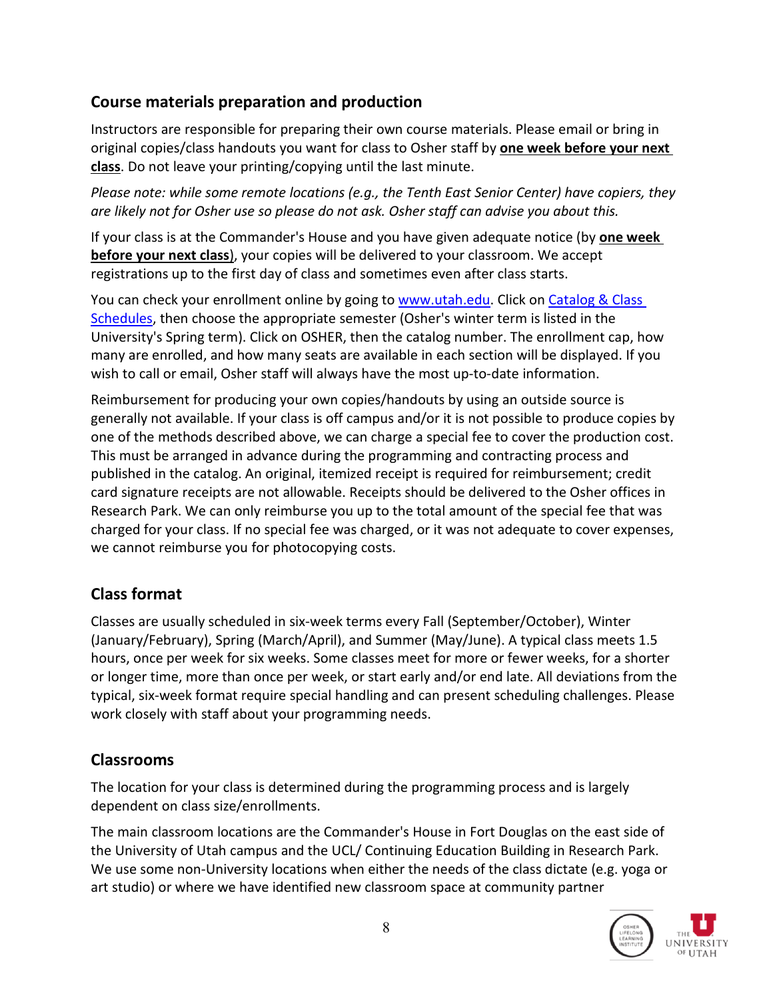## **Course materials preparation and production**

Instructors are responsible for preparing their own course materials. Please email or bring in original copies/class handouts you want for class to Osher staff by **one week before your next class**. Do not leave your printing/copying until the last minute.

*Please note: while some remote locations (e.g., the Tenth East Senior Center) have copiers, they are likely not for Osher use so please do not ask. Osher staff can advise you about this.*

If your class is at the Commander's House and you have given adequate notice (by **one week before your next class**), your copies will be delivered to your classroom. We accept registrations up to the first day of class and sometimes even after class starts.

You can check your enrollment online by going to [www.utah.edu.](http://www.utah.edu/) Click on [Catalog & Class](http://www.utah.edu/portal/site/uuhome/menuitem.ddac5bbd6efcaf8ab123b610c1e916b9/?vgnextoid=1223584d6f665110VgnVCM1000001c9e619bRCRD)  [Schedules,](http://www.utah.edu/portal/site/uuhome/menuitem.ddac5bbd6efcaf8ab123b610c1e916b9/?vgnextoid=1223584d6f665110VgnVCM1000001c9e619bRCRD) then choose the appropriate semester (Osher's winter term is listed in the University's Spring term). Click on OSHER, then the catalog number. The enrollment cap, how many are enrolled, and how many seats are available in each section will be displayed. If you wish to call or email, Osher staff will always have the most up-to-date information.

Reimbursement for producing your own copies/handouts by using an outside source is generally not available. If your class is off campus and/or it is not possible to produce copies by one of the methods described above, we can charge a special fee to cover the production cost. This must be arranged in advance during the programming and contracting process and published in the catalog. An original, itemized receipt is required for reimbursement; credit card signature receipts are not allowable. Receipts should be delivered to the Osher offices in Research Park. We can only reimburse you up to the total amount of the special fee that was charged for your class. If no special fee was charged, or it was not adequate to cover expenses, we cannot reimburse you for photocopying costs.

## **Class format**

Classes are usually scheduled in six-week terms every Fall (September/October), Winter (January/February), Spring (March/April), and Summer (May/June). A typical class meets 1.5 hours, once per week for six weeks. Some classes meet for more or fewer weeks, for a shorter or longer time, more than once per week, or start early and/or end late. All deviations from the typical, six-week format require special handling and can present scheduling challenges. Please work closely with staff about your programming needs.

# **Classrooms**

The location for your class is determined during the programming process and is largely dependent on class size/enrollments.

The main classroom locations are the Commander's House in Fort Douglas on the east side of the University of Utah campus and the UCL/ Continuing Education Building in Research Park. We use some non-University locations when either the needs of the class dictate (e.g. yoga or art studio) or where we have identified new classroom space at community partner

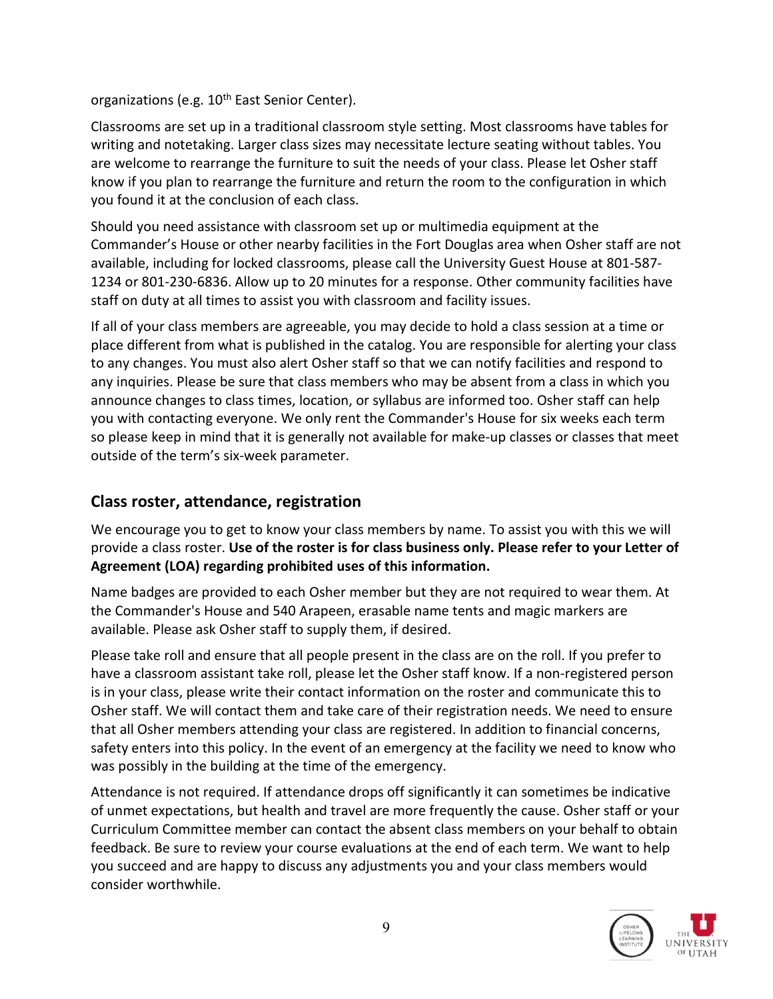organizations (e.g. 10<sup>th</sup> East Senior Center).

Classrooms are set up in a traditional classroom style setting. Most classrooms have tables for writing and notetaking. Larger class sizes may necessitate lecture seating without tables. You are welcome to rearrange the furniture to suit the needs of your class. Please let Osher staff know if you plan to rearrange the furniture and return the room to the configuration in which you found it at the conclusion of each class.

Should you need assistance with classroom set up or multimedia equipment at the Commander's House or other nearby facilities in the Fort Douglas area when Osher staff are not available, including for locked classrooms, please call the University Guest House at 801-587- 1234 or 801-230-6836. Allow up to 20 minutes for a response. Other community facilities have staff on duty at all times to assist you with classroom and facility issues.

If all of your class members are agreeable, you may decide to hold a class session at a time or place different from what is published in the catalog. You are responsible for alerting your class to any changes. You must also alert Osher staff so that we can notify facilities and respond to any inquiries. Please be sure that class members who may be absent from a class in which you announce changes to class times, location, or syllabus are informed too. Osher staff can help you with contacting everyone. We only rent the Commander's House for six weeks each term so please keep in mind that it is generally not available for make-up classes or classes that meet outside of the term's six-week parameter.

## **Class roster, attendance, registration**

We encourage you to get to know your class members by name. To assist you with this we will provide a class roster. **Use of the roster is for class business only. Please refer to your Letter of Agreement (LOA) regarding prohibited uses of this information.**

Name badges are provided to each Osher member but they are not required to wear them. At the Commander's House and 540 Arapeen, erasable name tents and magic markers are available. Please ask Osher staff to supply them, if desired.

Please take roll and ensure that all people present in the class are on the roll. If you prefer to have a classroom assistant take roll, please let the Osher staff know. If a non-registered person is in your class, please write their contact information on the roster and communicate this to Osher staff. We will contact them and take care of their registration needs. We need to ensure that all Osher members attending your class are registered. In addition to financial concerns, safety enters into this policy. In the event of an emergency at the facility we need to know who was possibly in the building at the time of the emergency.

Attendance is not required. If attendance drops off significantly it can sometimes be indicative of unmet expectations, but health and travel are more frequently the cause. Osher staff or your Curriculum Committee member can contact the absent class members on your behalf to obtain feedback. Be sure to review your course evaluations at the end of each term. We want to help you succeed and are happy to discuss any adjustments you and your class members would consider worthwhile.

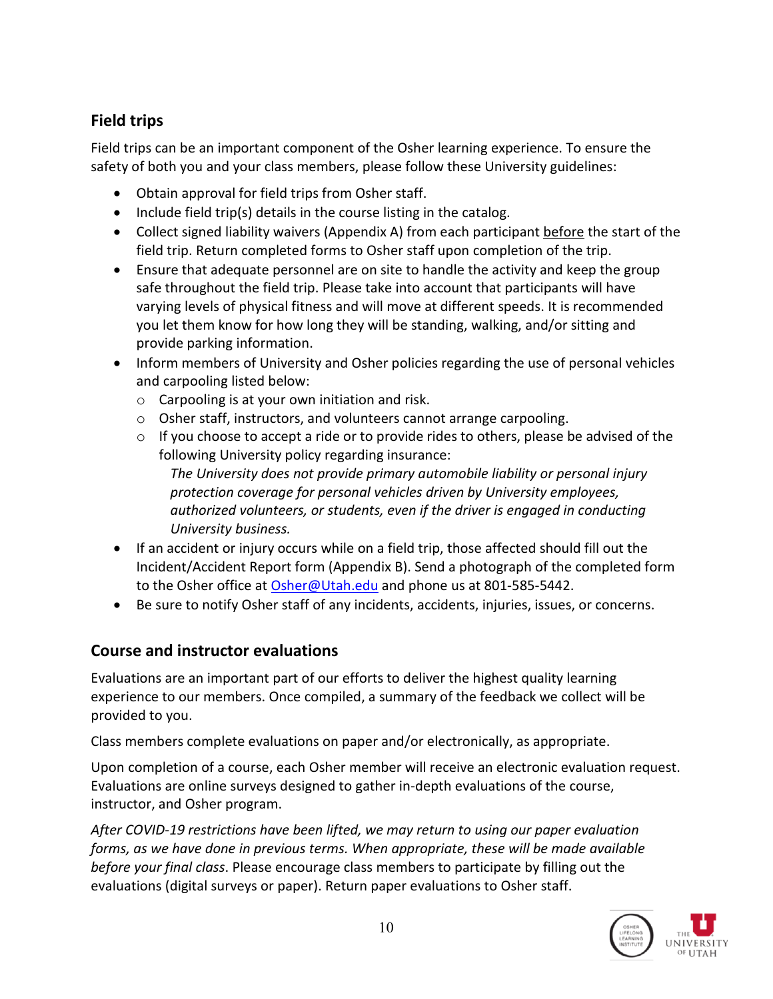# **Field trips**

Field trips can be an important component of the Osher learning experience. To ensure the safety of both you and your class members, please follow these University guidelines:

- Obtain approval for field trips from Osher staff.
- Include field trip(s) details in the course listing in the catalog.
- Collect signed liability waivers (Appendix A) from each participant before the start of the field trip. Return completed forms to Osher staff upon completion of the trip.
- Ensure that adequate personnel are on site to handle the activity and keep the group safe throughout the field trip. Please take into account that participants will have varying levels of physical fitness and will move at different speeds. It is recommended you let them know for how long they will be standing, walking, and/or sitting and provide parking information.
- Inform members of University and Osher policies regarding the use of personal vehicles and carpooling listed below:
	- $\circ$  Carpooling is at your own initiation and risk.
	- o Osher staff, instructors, and volunteers cannot arrange carpooling.
	- $\circ$  If you choose to accept a ride or to provide rides to others, please be advised of the following University policy regarding insurance: *The University does not provide primary automobile liability or personal injury protection coverage for personal vehicles driven by University employees,*

*authorized volunteers, or students, even if the driver is engaged in conducting University business.* 

- If an accident or injury occurs while on a field trip, those affected should fill out the Incident/Accident Report form (Appendix B). Send a photograph of the completed form to the Osher office at [Osher@Utah.edu](mailto:Osher@Utah.edu) and phone us at 801-585-5442.
- Be sure to notify Osher staff of any incidents, accidents, injuries, issues, or concerns.

# **Course and instructor evaluations**

Evaluations are an important part of our efforts to deliver the highest quality learning experience to our members. Once compiled, a summary of the feedback we collect will be provided to you.

Class members complete evaluations on paper and/or electronically, as appropriate.

Upon completion of a course, each Osher member will receive an electronic evaluation request. Evaluations are online surveys designed to gather in-depth evaluations of the course, instructor, and Osher program.

*After COVID-19 restrictions have been lifted, we may return to using our paper evaluation forms, as we have done in previous terms. When appropriate, these will be made available before your final class*. Please encourage class members to participate by filling out the evaluations (digital surveys or paper). Return paper evaluations to Osher staff.

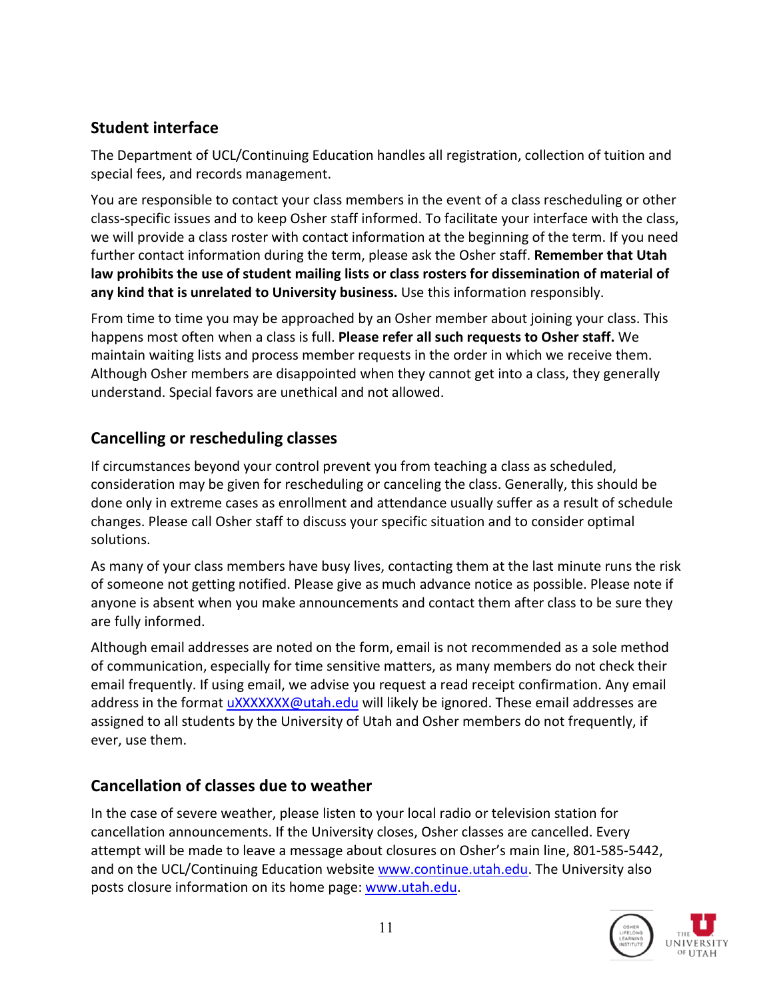## **Student interface**

The Department of UCL/Continuing Education handles all registration, collection of tuition and special fees, and records management.

You are responsible to contact your class members in the event of a class rescheduling or other class-specific issues and to keep Osher staff informed. To facilitate your interface with the class, we will provide a class roster with contact information at the beginning of the term. If you need further contact information during the term, please ask the Osher staff. **Remember that Utah law prohibits the use of student mailing lists or class rosters for dissemination of material of any kind that is unrelated to University business.** Use this information responsibly.

From time to time you may be approached by an Osher member about joining your class. This happens most often when a class is full. **Please refer all such requests to Osher staff.** We maintain waiting lists and process member requests in the order in which we receive them. Although Osher members are disappointed when they cannot get into a class, they generally understand. Special favors are unethical and not allowed.

## **Cancelling or rescheduling classes**

If circumstances beyond your control prevent you from teaching a class as scheduled, consideration may be given for rescheduling or canceling the class. Generally, this should be done only in extreme cases as enrollment and attendance usually suffer as a result of schedule changes. Please call Osher staff to discuss your specific situation and to consider optimal solutions.

As many of your class members have busy lives, contacting them at the last minute runs the risk of someone not getting notified. Please give as much advance notice as possible. Please note if anyone is absent when you make announcements and contact them after class to be sure they are fully informed.

Although email addresses are noted on the form, email is not recommended as a sole method of communication, especially for time sensitive matters, as many members do not check their email frequently. If using email, we advise you request a read receipt confirmation. Any email address in the format *uXXXXXXX@utah.edu* will likely be ignored. These email addresses are assigned to all students by the University of Utah and Osher members do not frequently, if ever, use them.

## **Cancellation of classes due to weather**

In the case of severe weather, please listen to your local radio or television station for cancellation announcements. If the University closes, Osher classes are cancelled. Every attempt will be made to leave a message about closures on Osher's main line, 801-585-5442, and on the UCL/Continuing Education website [www.continue.utah.edu.](http://www.continue.utah.edu/) The University also posts closure information on its home page: [www.utah.edu.](http://www.utah.edu/)

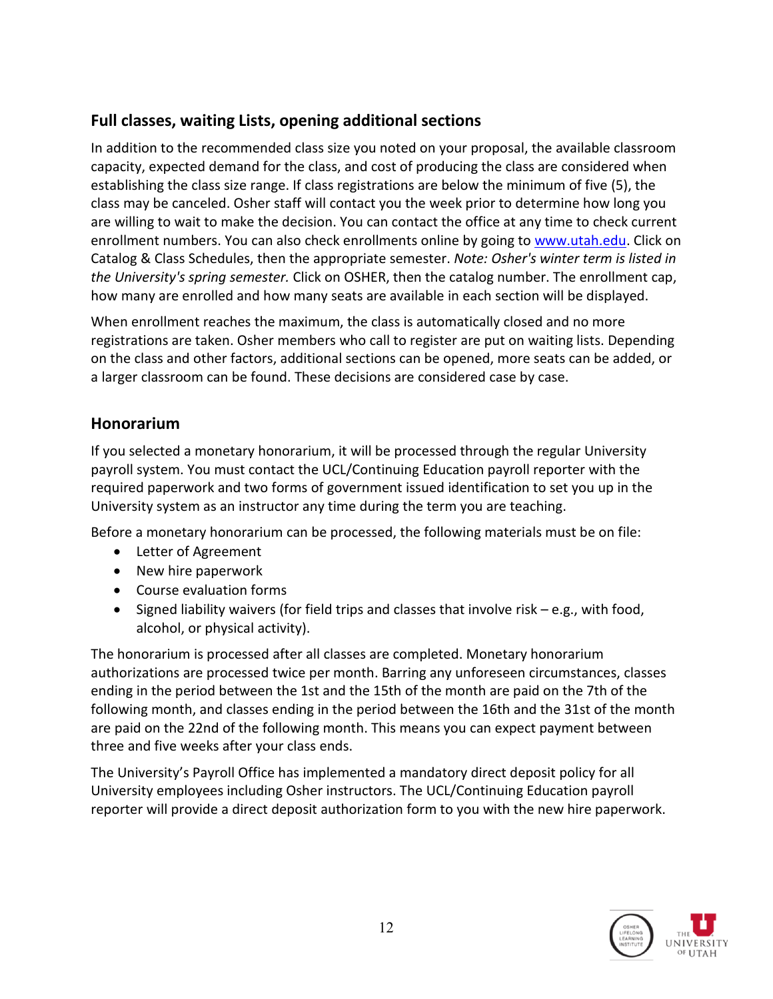## **Full classes, waiting Lists, opening additional sections**

In addition to the recommended class size you noted on your proposal, the available classroom capacity, expected demand for the class, and cost of producing the class are considered when establishing the class size range. If class registrations are below the minimum of five (5), the class may be canceled. Osher staff will contact you the week prior to determine how long you are willing to wait to make the decision. You can contact the office at any time to check current enrollment numbers. You can also check enrollments online by going to [www.utah.edu.](http://www.utah.edu/) Click on Catalog & Class Schedules, then the appropriate semester. *Note: Osher's winter term is listed in the University's spring semester.* Click on OSHER, then the catalog number. The enrollment cap, how many are enrolled and how many seats are available in each section will be displayed.

When enrollment reaches the maximum, the class is automatically closed and no more registrations are taken. Osher members who call to register are put on waiting lists. Depending on the class and other factors, additional sections can be opened, more seats can be added, or a larger classroom can be found. These decisions are considered case by case.

## **Honorarium**

If you selected a monetary honorarium, it will be processed through the regular University payroll system. You must contact the UCL/Continuing Education payroll reporter with the required paperwork and two forms of government issued identification to set you up in the University system as an instructor any time during the term you are teaching.

Before a monetary honorarium can be processed, the following materials must be on file:

- Letter of Agreement
- New hire paperwork
- Course evaluation forms
- Signed liability waivers (for field trips and classes that involve risk  $-e.g.,$  with food, alcohol, or physical activity).

The honorarium is processed after all classes are completed. Monetary honorarium authorizations are processed twice per month. Barring any unforeseen circumstances, classes ending in the period between the 1st and the 15th of the month are paid on the 7th of the following month, and classes ending in the period between the 16th and the 31st of the month are paid on the 22nd of the following month. This means you can expect payment between three and five weeks after your class ends.

The University's Payroll Office has implemented a mandatory direct deposit policy for all University employees including Osher instructors. The UCL/Continuing Education payroll reporter will provide a direct deposit authorization form to you with the new hire paperwork.

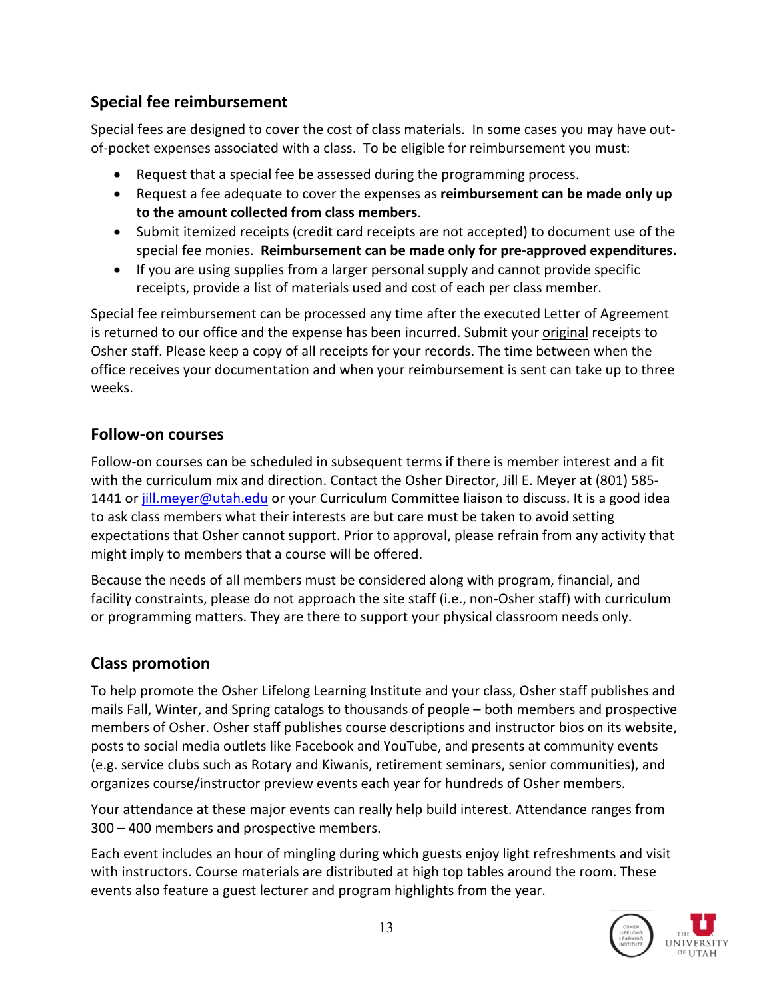## **Special fee reimbursement**

Special fees are designed to cover the cost of class materials. In some cases you may have outof-pocket expenses associated with a class. To be eligible for reimbursement you must:

- Request that a special fee be assessed during the programming process.
- Request a fee adequate to cover the expenses as **reimbursement can be made only up to the amount collected from class members**.
- Submit itemized receipts (credit card receipts are not accepted) to document use of the special fee monies. **Reimbursement can be made only for pre-approved expenditures.**
- If you are using supplies from a larger personal supply and cannot provide specific receipts, provide a list of materials used and cost of each per class member.

Special fee reimbursement can be processed any time after the executed Letter of Agreement is returned to our office and the expense has been incurred. Submit your original receipts to Osher staff. Please keep a copy of all receipts for your records. The time between when the office receives your documentation and when your reimbursement is sent can take up to three weeks.

## **Follow-on courses**

Follow-on courses can be scheduled in subsequent terms if there is member interest and a fit with the curriculum mix and direction. Contact the Osher Director, Jill E. Meyer at (801) 585 1441 or [jill.meyer@utah.edu](mailto:jill.meyer@utah.edu) or your Curriculum Committee liaison to discuss. It is a good idea to ask class members what their interests are but care must be taken to avoid setting expectations that Osher cannot support. Prior to approval, please refrain from any activity that might imply to members that a course will be offered.

Because the needs of all members must be considered along with program, financial, and facility constraints, please do not approach the site staff (i.e., non-Osher staff) with curriculum or programming matters. They are there to support your physical classroom needs only.

## **Class promotion**

To help promote the Osher Lifelong Learning Institute and your class, Osher staff publishes and mails Fall, Winter, and Spring catalogs to thousands of people – both members and prospective members of Osher. Osher staff publishes course descriptions and instructor bios on its website, posts to social media outlets like Facebook and YouTube, and presents at community events (e.g. service clubs such as Rotary and Kiwanis, retirement seminars, senior communities), and organizes course/instructor preview events each year for hundreds of Osher members.

Your attendance at these major events can really help build interest. Attendance ranges from 300 – 400 members and prospective members.

Each event includes an hour of mingling during which guests enjoy light refreshments and visit with instructors. Course materials are distributed at high top tables around the room. These events also feature a guest lecturer and program highlights from the year.

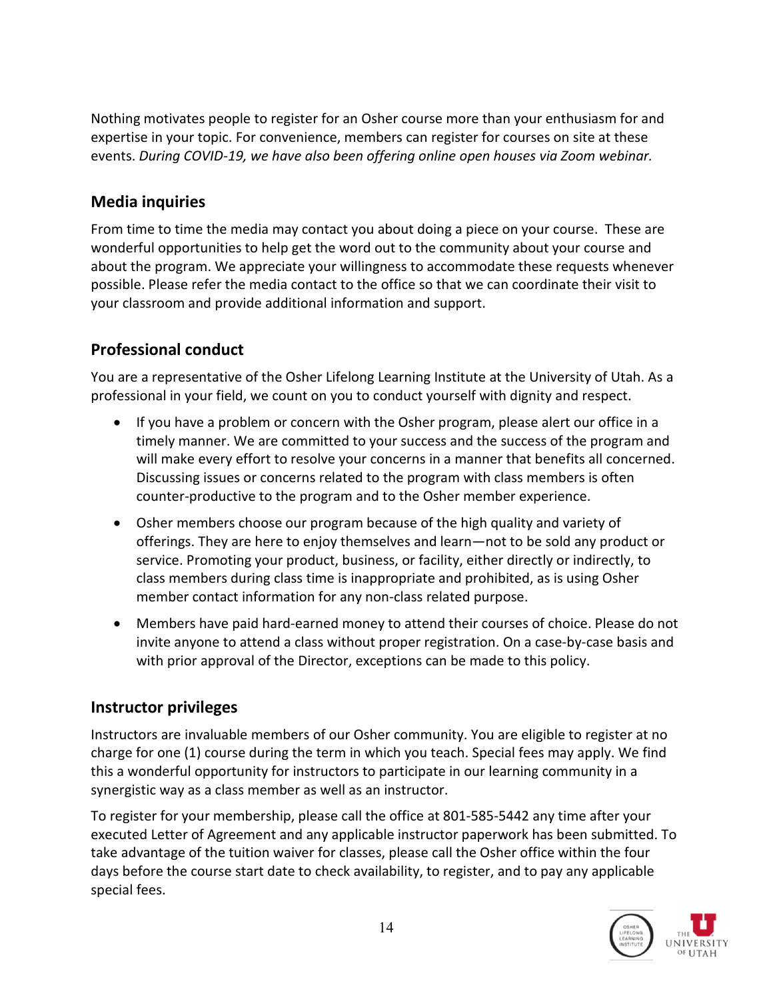Nothing motivates people to register for an Osher course more than your enthusiasm for and expertise in your topic. For convenience, members can register for courses on site at these events. *During COVID-19, we have also been offering online open houses via Zoom webinar.*

## **Media inquiries**

From time to time the media may contact you about doing a piece on your course. These are wonderful opportunities to help get the word out to the community about your course and about the program. We appreciate your willingness to accommodate these requests whenever possible. Please refer the media contact to the office so that we can coordinate their visit to your classroom and provide additional information and support.

## **Professional conduct**

You are a representative of the Osher Lifelong Learning Institute at the University of Utah. As a professional in your field, we count on you to conduct yourself with dignity and respect.

- If you have a problem or concern with the Osher program, please alert our office in a timely manner. We are committed to your success and the success of the program and will make every effort to resolve your concerns in a manner that benefits all concerned. Discussing issues or concerns related to the program with class members is often counter-productive to the program and to the Osher member experience.
- Osher members choose our program because of the high quality and variety of offerings. They are here to enjoy themselves and learn—not to be sold any product or service. Promoting your product, business, or facility, either directly or indirectly, to class members during class time is inappropriate and prohibited, as is using Osher member contact information for any non-class related purpose.
- Members have paid hard-earned money to attend their courses of choice. Please do not invite anyone to attend a class without proper registration. On a case-by-case basis and with prior approval of the Director, exceptions can be made to this policy.

## **Instructor privileges**

Instructors are invaluable members of our Osher community. You are eligible to register at no charge for one (1) course during the term in which you teach. Special fees may apply. We find this a wonderful opportunity for instructors to participate in our learning community in a synergistic way as a class member as well as an instructor.

To register for your membership, please call the office at 801-585-5442 any time after your executed Letter of Agreement and any applicable instructor paperwork has been submitted. To take advantage of the tuition waiver for classes, please call the Osher office within the four days before the course start date to check availability, to register, and to pay any applicable special fees.

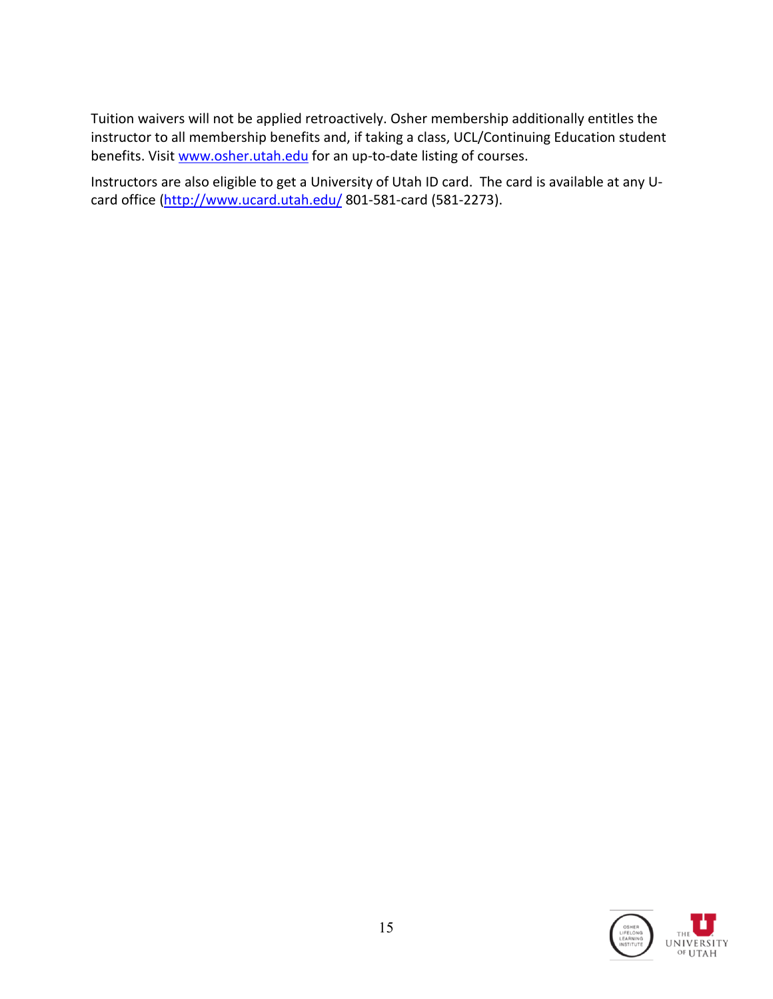Tuition waivers will not be applied retroactively. Osher membership additionally entitles the instructor to all membership benefits and, if taking a class, UCL/Continuing Education student benefits. Visit [www.osher.utah.edu](http://www.osher.utah.edu/) for an up-to-date listing of courses.

Instructors are also eligible to get a University of Utah ID card. The card is available at any U-card office [\(http://www.ucard.utah.edu/](http://www.ucard.utah.edu/) 801-581-card (581-2273).

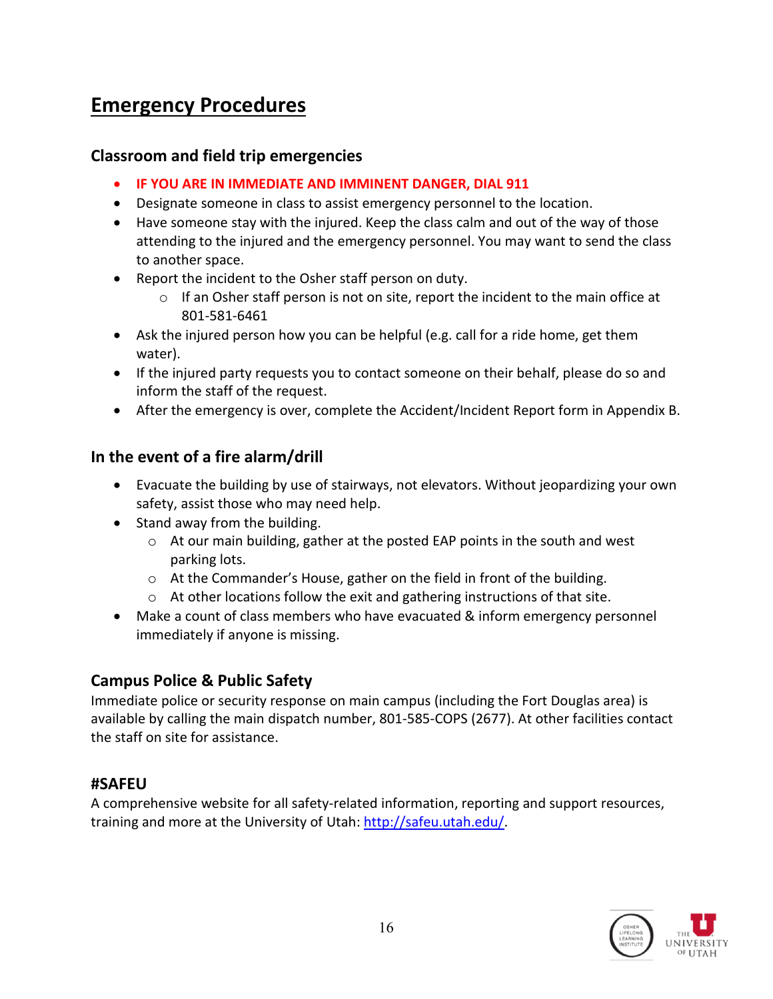# **Emergency Procedures**

## **Classroom and field trip emergencies**

- **IF YOU ARE IN IMMEDIATE AND IMMINENT DANGER, DIAL 911**
- Designate someone in class to assist emergency personnel to the location.
- Have someone stay with the injured. Keep the class calm and out of the way of those attending to the injured and the emergency personnel. You may want to send the class to another space.
- Report the incident to the Osher staff person on duty.
	- $\circ$  If an Osher staff person is not on site, report the incident to the main office at 801-581-6461
- Ask the injured person how you can be helpful (e.g. call for a ride home, get them water).
- If the injured party requests you to contact someone on their behalf, please do so and inform the staff of the request.
- After the emergency is over, complete the Accident/Incident Report form in Appendix B.

## **In the event of a fire alarm/drill**

- Evacuate the building by use of stairways, not elevators. Without jeopardizing your own safety, assist those who may need help.
- Stand away from the building.
	- o At our main building, gather at the posted EAP points in the south and west parking lots.
	- o At the Commander's House, gather on the field in front of the building.
	- o At other locations follow the exit and gathering instructions of that site.
- Make a count of class members who have evacuated & inform emergency personnel immediately if anyone is missing.

## **Campus Police & Public Safety**

Immediate police or security response on main campus (including the Fort Douglas area) is available by calling the main dispatch number, 801-585-COPS (2677). At other facilities contact the staff on site for assistance.

## **#SAFEU**

A comprehensive website for all safety-related information, reporting and support resources, training and more at the University of Utah: [http://safeu.utah.edu/.](http://safeu.utah.edu/)

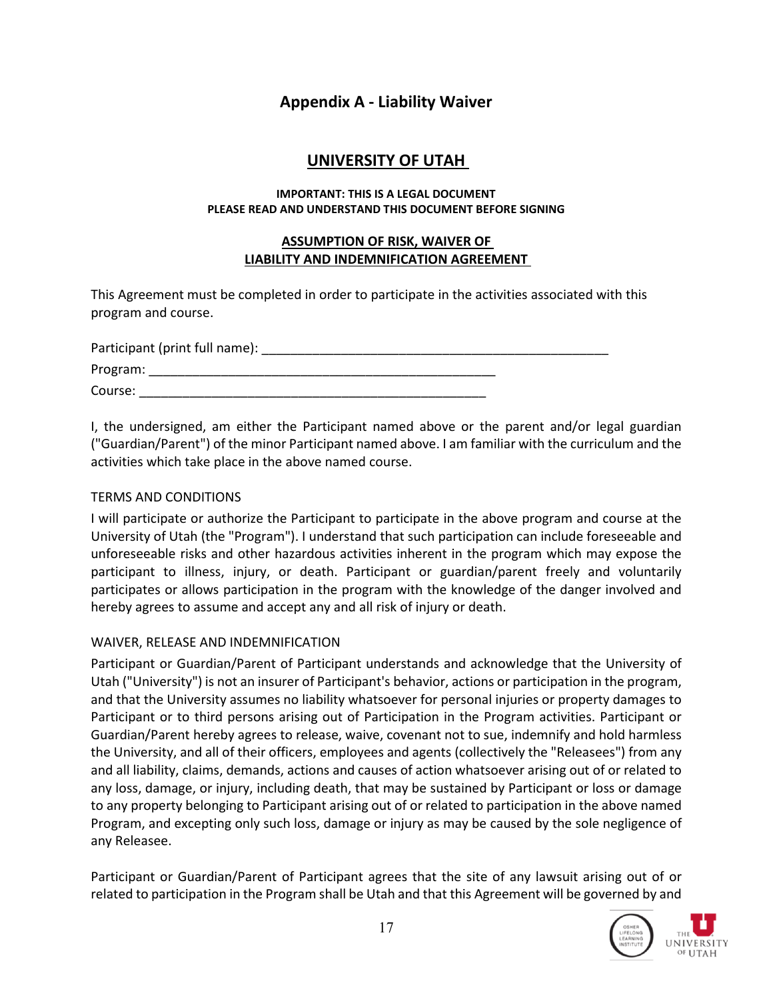## **Appendix A - Liability Waiver**

## **UNIVERSITY OF UTAH**

#### **IMPORTANT: THIS IS A LEGAL DOCUMENT PLEASE READ AND UNDERSTAND THIS DOCUMENT BEFORE SIGNING**

#### **ASSUMPTION OF RISK, WAIVER OF LIABILITY AND INDEMNIFICATION AGREEMENT**

This Agreement must be completed in order to participate in the activities associated with this program and course.

| Participant (print full name): |  |
|--------------------------------|--|
| Program:                       |  |
| Course:                        |  |

I, the undersigned, am either the Participant named above or the parent and/or legal guardian ("Guardian/Parent") of the minor Participant named above. I am familiar with the curriculum and the activities which take place in the above named course.

#### TERMS AND CONDITIONS

I will participate or authorize the Participant to participate in the above program and course at the University of Utah (the "Program"). I understand that such participation can include foreseeable and unforeseeable risks and other hazardous activities inherent in the program which may expose the participant to illness, injury, or death. Participant or guardian/parent freely and voluntarily participates or allows participation in the program with the knowledge of the danger involved and hereby agrees to assume and accept any and all risk of injury or death.

#### WAIVER, RELEASE AND INDEMNIFICATION

Participant or Guardian/Parent of Participant understands and acknowledge that the University of Utah ("University") is not an insurer of Participant's behavior, actions or participation in the program, and that the University assumes no liability whatsoever for personal injuries or property damages to Participant or to third persons arising out of Participation in the Program activities. Participant or Guardian/Parent hereby agrees to release, waive, covenant not to sue, indemnify and hold harmless the University, and all of their officers, employees and agents (collectively the "Releasees") from any and all liability, claims, demands, actions and causes of action whatsoever arising out of or related to any loss, damage, or injury, including death, that may be sustained by Participant or loss or damage to any property belonging to Participant arising out of or related to participation in the above named Program, and excepting only such loss, damage or injury as may be caused by the sole negligence of any Releasee.

Participant or Guardian/Parent of Participant agrees that the site of any lawsuit arising out of or related to participation in the Program shall be Utah and that this Agreement will be governed by and

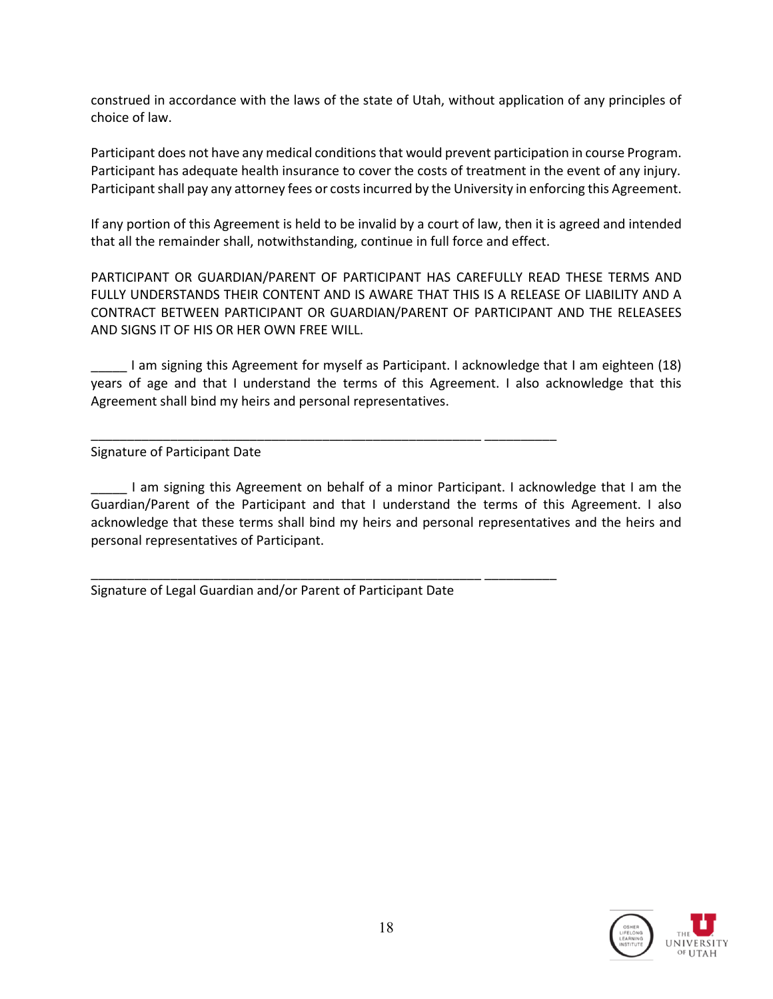construed in accordance with the laws of the state of Utah, without application of any principles of choice of law.

Participant does not have any medical conditions that would prevent participation in course Program. Participant has adequate health insurance to cover the costs of treatment in the event of any injury. Participant shall pay any attorney fees or costs incurred by the University in enforcing this Agreement.

If any portion of this Agreement is held to be invalid by a court of law, then it is agreed and intended that all the remainder shall, notwithstanding, continue in full force and effect.

PARTICIPANT OR GUARDIAN/PARENT OF PARTICIPANT HAS CAREFULLY READ THESE TERMS AND FULLY UNDERSTANDS THEIR CONTENT AND IS AWARE THAT THIS IS A RELEASE OF LIABILITY AND A CONTRACT BETWEEN PARTICIPANT OR GUARDIAN/PARENT OF PARTICIPANT AND THE RELEASEES AND SIGNS IT OF HIS OR HER OWN FREE WILL.

I am signing this Agreement for myself as Participant. I acknowledge that I am eighteen (18) years of age and that I understand the terms of this Agreement. I also acknowledge that this Agreement shall bind my heirs and personal representatives.

\_\_\_\_\_\_\_\_\_\_\_\_\_\_\_\_\_\_\_\_\_\_\_\_\_\_\_\_\_\_\_\_\_\_\_\_\_\_\_\_\_\_\_\_\_\_\_\_\_\_\_\_\_\_ \_\_\_\_\_\_\_\_\_\_

\_\_\_\_\_\_\_\_\_\_\_\_\_\_\_\_\_\_\_\_\_\_\_\_\_\_\_\_\_\_\_\_\_\_\_\_\_\_\_\_\_\_\_\_\_\_\_\_\_\_\_\_\_\_ \_\_\_\_\_\_\_\_\_\_

Signature of Participant Date

\_\_\_\_\_ I am signing this Agreement on behalf of a minor Participant. I acknowledge that I am the Guardian/Parent of the Participant and that I understand the terms of this Agreement. I also acknowledge that these terms shall bind my heirs and personal representatives and the heirs and personal representatives of Participant.

Signature of Legal Guardian and/or Parent of Participant Date

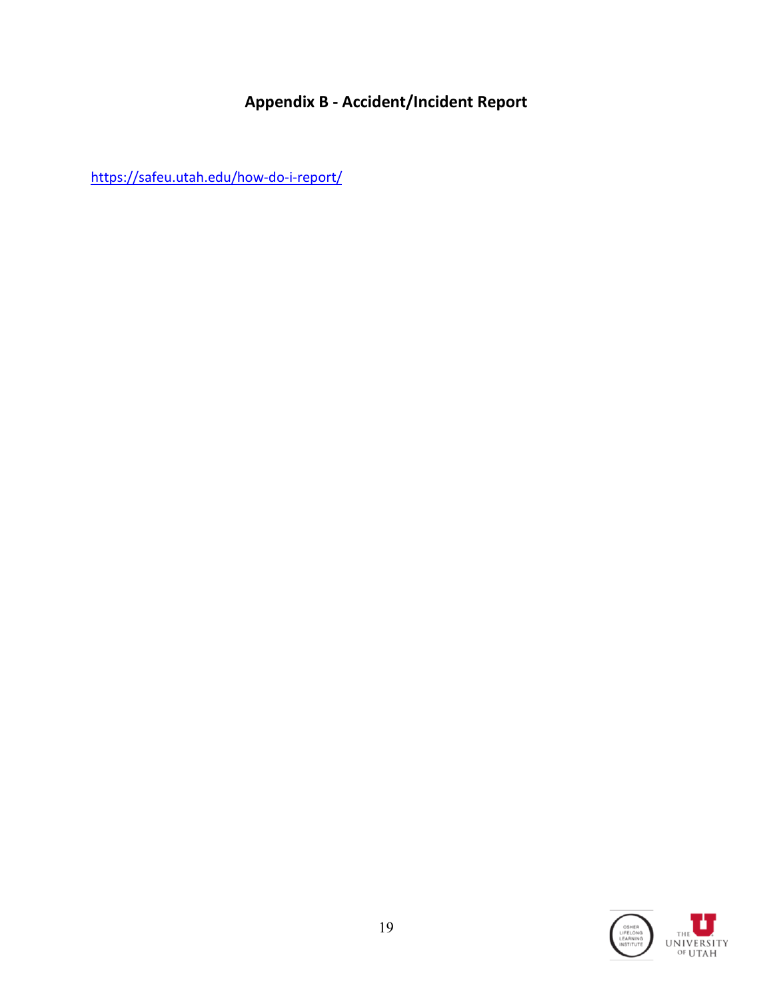# **Appendix B - Accident/Incident Report**

<https://safeu.utah.edu/how-do-i-report/>